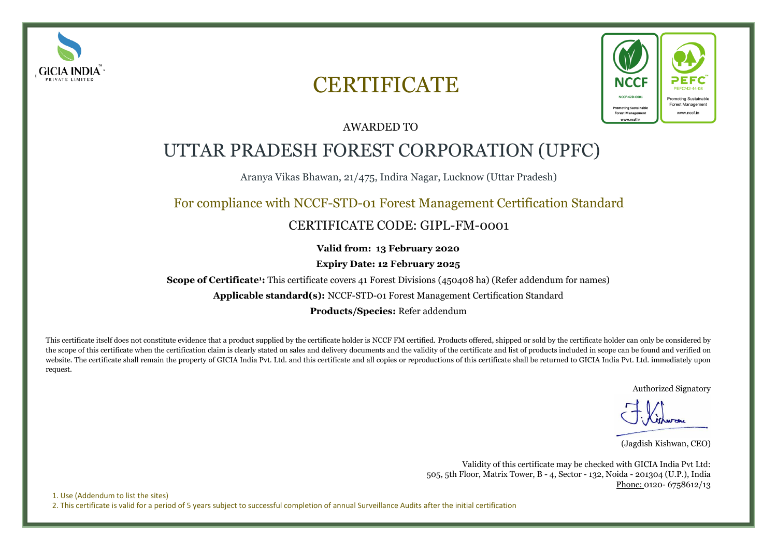

# **CERTIFICATE**



### AWARDED TO

## UTTAR PRADESH FOREST CORPORATION (UPFC)

Aranya Vikas Bhawan, 21/475, Indira Nagar, Lucknow (Uttar Pradesh)

## For compliance with NCCF-STD-01 Forest Management Certification Standard

## CERTIFICATE CODE: GIPL-FM-0001

**Valid from: 13 February 2020**

**Expiry Date: 12 February 2025**

**Scope of Certificate<sup>1</sup>:** This certificate covers 41 Forest Divisions (450408 ha) (Refer addendum for names)

**Applicable standard(s):** NCCF-STD-01 Forest Management Certification Standard

**Products/Species:** Refer addendum

This certificate itself does not constitute evidence that a product supplied by the certificate holder is NCCF FM certified. Products offered, shipped or sold by the certificate holder can only be considered by the scope of this certificate when the certification claim is clearly stated on sales and delivery documents and the validity of the certificate and list of products included in scope can be found and verified on website. The certificate shall remain the property of GICIA India Pvt. Ltd. and this certificate and all copies or reproductions of this certificate shall be returned to GICIA India Pvt. Ltd. immediately upon request.

Authorized Signatory

(Jagdish Kishwan, CEO)

Validity of this certificate may be checked with GICIA India Pvt Ltd: 505, 5th Floor, Matrix Tower, B - 4, Sector - 132, Noida - 201304 (U.P.), India Phone: 0120- 6758612/13

1. Use (Addendum to list the sites) 2. This certificate is valid for a period of 5 years subject to successful completion of annual Surveillance Audits after the initial certification